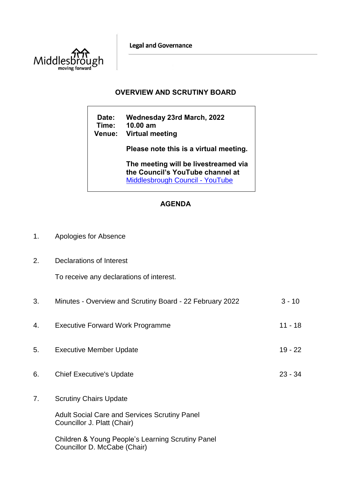**Legal and Governance** 



## **OVERVIEW AND SCRUTINY BOARD**

**Date: Wednesday 23rd March, 2022 Time: 10.00 am Venue: Virtual meeting Please note this is a virtual meeting. The meeting will be livestreamed via the Council's YouTube channel at**  [Middlesbrough Council -](https://www.youtube.com/user/middlesbroughcouncil) YouTube

## **AGENDA**

- 1. Apologies for Absence
- 2. Declarations of Interest

To receive any declarations of interest.

| 3. | Minutes - Overview and Scrutiny Board - 22 February 2022                            | $3 - 10$  |
|----|-------------------------------------------------------------------------------------|-----------|
| 4. | <b>Executive Forward Work Programme</b>                                             | $11 - 18$ |
| 5. | <b>Executive Member Update</b>                                                      | $19 - 22$ |
| 6. | <b>Chief Executive's Update</b>                                                     | $23 - 34$ |
| 7. | <b>Scrutiny Chairs Update</b>                                                       |           |
|    | <b>Adult Social Care and Services Scrutiny Panel</b><br>Councillor J. Platt (Chair) |           |
|    | Children & Young People's Learning Scrutiny Panel<br>Councillor D. McCabe (Chair)   |           |